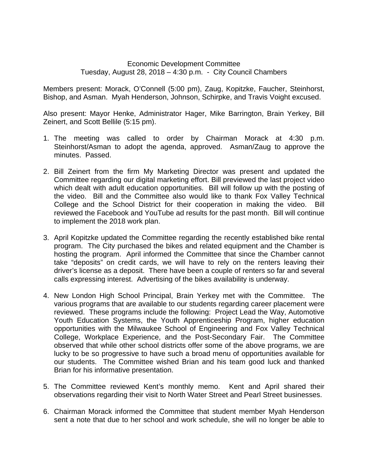## Economic Development Committee Tuesday, August 28, 2018 – 4:30 p.m. - City Council Chambers

Members present: Morack, O'Connell (5:00 pm), Zaug, Kopitzke, Faucher, Steinhorst, Bishop, and Asman. Myah Henderson, Johnson, Schirpke, and Travis Voight excused.

Also present: Mayor Henke, Administrator Hager, Mike Barrington, Brain Yerkey, Bill Zeinert, and Scott Bellile (5:15 pm).

- 1. The meeting was called to order by Chairman Morack at 4:30 p.m. Steinhorst/Asman to adopt the agenda, approved. Asman/Zaug to approve the minutes. Passed.
- 2. Bill Zeinert from the firm My Marketing Director was present and updated the Committee regarding our digital marketing effort. Bill previewed the last project video which dealt with adult education opportunities. Bill will follow up with the posting of the video. Bill and the Committee also would like to thank Fox Valley Technical College and the School District for their cooperation in making the video. Bill reviewed the Facebook and YouTube ad results for the past month. Bill will continue to implement the 2018 work plan.
- 3. April Kopitzke updated the Committee regarding the recently established bike rental program. The City purchased the bikes and related equipment and the Chamber is hosting the program. April informed the Committee that since the Chamber cannot take "deposits" on credit cards, we will have to rely on the renters leaving their driver's license as a deposit. There have been a couple of renters so far and several calls expressing interest. Advertising of the bikes availability is underway.
- 4. New London High School Principal, Brain Yerkey met with the Committee. The various programs that are available to our students regarding career placement were reviewed. These programs include the following: Project Lead the Way, Automotive Youth Education Systems, the Youth Apprenticeship Program, higher education opportunities with the Milwaukee School of Engineering and Fox Valley Technical College, Workplace Experience, and the Post-Secondary Fair. The Committee observed that while other school districts offer some of the above programs, we are lucky to be so progressive to have such a broad menu of opportunities available for our students. The Committee wished Brian and his team good luck and thanked Brian for his informative presentation.
- 5. The Committee reviewed Kent's monthly memo. Kent and April shared their observations regarding their visit to North Water Street and Pearl Street businesses.
- 6. Chairman Morack informed the Committee that student member Myah Henderson sent a note that due to her school and work schedule, she will no longer be able to